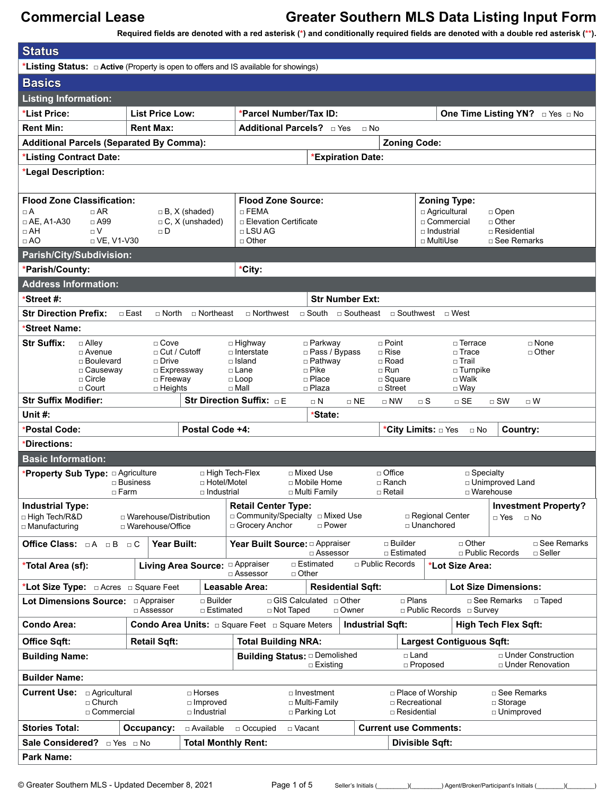**Status**

# **Commercial Lease Greater Southern MLS Data Listing Input Form**

**Required fields are denoted with a red asterisk (\*) and conditionally required fields are denoted with a double red asterisk (\*\*).**

| <b>olalus</b>                                                                             |                                                                       |                                             |                                                                  |                                        |                                   |                                 |                                            |  |  |
|-------------------------------------------------------------------------------------------|-----------------------------------------------------------------------|---------------------------------------------|------------------------------------------------------------------|----------------------------------------|-----------------------------------|---------------------------------|--------------------------------------------|--|--|
| *Listing Status: $\Box$ Active (Property is open to offers and IS available for showings) |                                                                       |                                             |                                                                  |                                        |                                   |                                 |                                            |  |  |
| <b>Basics</b>                                                                             |                                                                       |                                             |                                                                  |                                        |                                   |                                 |                                            |  |  |
| <b>Listing Information:</b>                                                               |                                                                       |                                             |                                                                  |                                        |                                   |                                 |                                            |  |  |
| *List Price:                                                                              | <b>List Price Low:</b>                                                |                                             |                                                                  | *Parcel Number/Tax ID:                 |                                   |                                 | One Time Listing YN? Dives DNo             |  |  |
| <b>Rent Min:</b><br><b>Rent Max:</b>                                                      |                                                                       |                                             |                                                                  | Additional Parcels? D Yes<br>$\Box$ No |                                   |                                 |                                            |  |  |
| <b>Additional Parcels (Separated By Comma):</b>                                           |                                                                       |                                             |                                                                  | <b>Zoning Code:</b>                    |                                   |                                 |                                            |  |  |
| *Listing Contract Date:                                                                   |                                                                       |                                             | *Expiration Date:                                                |                                        |                                   |                                 |                                            |  |  |
| *Legal Description:                                                                       |                                                                       |                                             |                                                                  |                                        |                                   |                                 |                                            |  |  |
|                                                                                           |                                                                       |                                             |                                                                  |                                        |                                   |                                 |                                            |  |  |
| <b>Flood Zone Classification:</b>                                                         |                                                                       |                                             | <b>Flood Zone Source:</b>                                        |                                        |                                   | <b>Zoning Type:</b>             |                                            |  |  |
| $\Box A$<br>$\Box$ AR                                                                     | $\Box$ FEMA<br>$\Box$ B, X (shaded)                                   |                                             |                                                                  |                                        |                                   | □ Agricultural<br>$\Box$ Open   |                                            |  |  |
| $\Box$ AH<br>$\Box$                                                                       | $\Box$ AE. A1-A30<br>$\Box$ A99<br>$\Box$ C, X (unshaded)<br>$\Box$ D |                                             |                                                                  | □ Elevation Certificate                | $\Box$ Industrial                 | □ Commercial                    | $\Box$ Other<br>□ Residential              |  |  |
| $\Box$ AO<br>$\Box$ VE, V1-V30                                                            |                                                                       |                                             | $\Box$ Other                                                     |                                        | □ MultiUse                        |                                 | □ See Remarks                              |  |  |
| Parish/City/Subdivision:                                                                  |                                                                       |                                             |                                                                  |                                        |                                   |                                 |                                            |  |  |
| *Parish/County:                                                                           |                                                                       |                                             | *City:                                                           |                                        |                                   |                                 |                                            |  |  |
| <b>Address Information:</b>                                                               |                                                                       |                                             |                                                                  |                                        |                                   |                                 |                                            |  |  |
| *Street #:                                                                                |                                                                       |                                             |                                                                  | <b>Str Number Ext:</b>                 |                                   |                                 |                                            |  |  |
| <b>Str Direction Prefix:</b>                                                              | $\Box$ East<br>$\Box$ North                                           | □ Northeast                                 | $\Box$ Northwest                                                 | $\Box$ South $\Box$ Southeast          | □ Southwest                       | □ West                          |                                            |  |  |
| *Street Name:                                                                             |                                                                       |                                             |                                                                  |                                        |                                   |                                 |                                            |  |  |
| <b>Str Suffix:</b><br>$\Box$ Alley                                                        | $\Box$ Cove                                                           |                                             | □ Highway                                                        | □ Parkway                              | $\Box$ Point                      | □ Terrace                       | $\Box$ None                                |  |  |
| $\Box$ Avenue<br>□ Boulevard                                                              | $\Box$ Drive                                                          | □ Cut / Cutoff                              | □ Interstate<br>$\Box$ Island                                    | □ Pass / Bypass<br>$\Box$ Pathway      | $\Box$ Rise<br>$\Box$ Road        | $\square$ Trace<br>□ Trail      | $\Box$ Other                               |  |  |
| □ Causeway                                                                                |                                                                       | □ Expressway                                | □ Pike<br>□ Lane                                                 |                                        | $\Box$ Run                        | $\Box$ Turnpike                 |                                            |  |  |
| $\Box$ Circle<br>$\Box$ Court                                                             | $\Box$ Freeway<br>$\Box$ Heights                                      |                                             | $\Box$ Loop<br>$\Box$ Mall                                       | □ Place<br>□ Plaza                     | $\square$ Square<br>$\Box$ Street | $\square$ Walk<br>$\Box$ Way    |                                            |  |  |
| <b>Str Suffix Modifier:</b>                                                               |                                                                       |                                             | Str Direction Suffix: DE                                         | $\Box$ NE                              | $\Box$ NW<br>$\Box$ S             | $\Box$ SE                       | $\Box$ SW<br>$\Box$ W                      |  |  |
| $\Box$ N                                                                                  |                                                                       |                                             |                                                                  |                                        |                                   |                                 |                                            |  |  |
| Unit $#$ :                                                                                |                                                                       |                                             |                                                                  | *State:                                |                                   |                                 |                                            |  |  |
| *Postal Code:                                                                             |                                                                       | Postal Code +4:                             |                                                                  |                                        |                                   | $\Box$ No                       |                                            |  |  |
| *Directions:                                                                              |                                                                       |                                             |                                                                  |                                        | *City Limits: □ Yes               |                                 | Country:                                   |  |  |
| <b>Basic Information:</b>                                                                 |                                                                       |                                             |                                                                  |                                        |                                   |                                 |                                            |  |  |
|                                                                                           |                                                                       |                                             | □ High Tech-Flex<br>□ Mixed Use                                  |                                        | $\Box$ Office                     | $\Box$ Specialty                |                                            |  |  |
| *Property Sub Type: a Agriculture                                                         | $\Box$ Business                                                       | □ Hotel/Motel                               | □ Mobile Home                                                    |                                        | □ Ranch                           |                                 | □ Unimproved Land                          |  |  |
|                                                                                           | $\Box$ Farm                                                           | □ Industrial                                | □ Multi Family                                                   |                                        | □ Retail                          | □ Warehouse                     |                                            |  |  |
| <b>Industrial Type:</b>                                                                   |                                                                       |                                             | <b>Retail Center Type:</b><br>□ Community/Specialty □ Mixed Use  |                                        |                                   |                                 | <b>Investment Property?</b>                |  |  |
| □ High Tech/R&D<br>□ Manufacturing                                                        | □ Warehouse/Distribution<br>□ Warehouse/Office                        |                                             | □ Grocery Anchor                                                 | □ Power                                | □ Regional Center<br>□ Unanchored |                                 | □ Yes<br>$\Box$ No                         |  |  |
| Office Class: $\Box A$ $\Box B$ $\Box C$                                                  |                                                                       | Year Built:                                 | Year Built Source: $\Box$ Appraiser                              |                                        | $\sqcap$ Builder                  | $\Box$ Other                    | □ See Remarks                              |  |  |
|                                                                                           |                                                                       |                                             |                                                                  | □ Assessor                             | □ Estimated                       | $\Box$ Public Records           | $\Box$ Seller                              |  |  |
| *Total Area (sf):                                                                         |                                                                       | Living Area Source: <sup>[]</sup> Appraiser | □ Estimated<br>$\Box$ Other<br>$\Box$ Assessor                   |                                        | $\Box$ Public Records             | *Lot Size Area:                 |                                            |  |  |
|                                                                                           |                                                                       |                                             | Leasable Area:                                                   | <b>Residential Sqft:</b>               |                                   |                                 | <b>Lot Size Dimensions:</b>                |  |  |
| <b>Lot Dimensions Source:</b>                                                             | □ Appraiser<br>□ Assessor                                             | $\Box$ Builder<br>□ Estimated               | □ GIS Calculated □ Other<br>□ Not Taped                          | □ Owner                                | $\Box$ Plans                      | □ Public Records □ Survey       | □ See Remarks<br>□ Taped                   |  |  |
| Condo Area:                                                                               |                                                                       |                                             | <b>Condo Area Units:</b> $\Box$ Square Feet $\Box$ Square Meters | <b>Industrial Sqft:</b>                |                                   |                                 | <b>High Tech Flex Sqft:</b>                |  |  |
| <b>Office Sqft:</b>                                                                       | <b>Retail Sqft:</b>                                                   |                                             | <b>Total Building NRA:</b>                                       |                                        |                                   | <b>Largest Contiguous Sqft:</b> |                                            |  |  |
| <b>Building Name:</b>                                                                     |                                                                       |                                             | <b>Building Status: a Demolished</b>                             |                                        | □ Land                            |                                 | □ Under Construction<br>□ Under Renovation |  |  |
| <b>Builder Name:</b>                                                                      |                                                                       |                                             |                                                                  | □ Existing                             | □ Proposed                        |                                 |                                            |  |  |
| <b>Current Use:</b> $\Box$ Agricultural                                                   |                                                                       | □ Horses                                    | □ Investment                                                     |                                        | □ Place of Worship                |                                 | □ See Remarks                              |  |  |
| $\Box$ Church                                                                             |                                                                       | □ Improved                                  | □ Multi-Family                                                   |                                        | □ Recreational                    |                                 | $\Box$ Storage                             |  |  |
| □ Commercial                                                                              |                                                                       | □ Industrial                                | □ Parking Lot                                                    |                                        | □ Residential                     |                                 | □ Unimproved                               |  |  |
| <b>Stories Total:</b>                                                                     | Occupancy:                                                            | □ Available                                 | Occupied<br>□ Vacant                                             |                                        | <b>Current use Comments:</b>      |                                 |                                            |  |  |
| <b>Sale Considered?</b> □ Yes □ No<br><b>Park Name:</b>                                   |                                                                       | <b>Total Monthly Rent:</b>                  |                                                                  |                                        | Divisible Sqft:                   |                                 |                                            |  |  |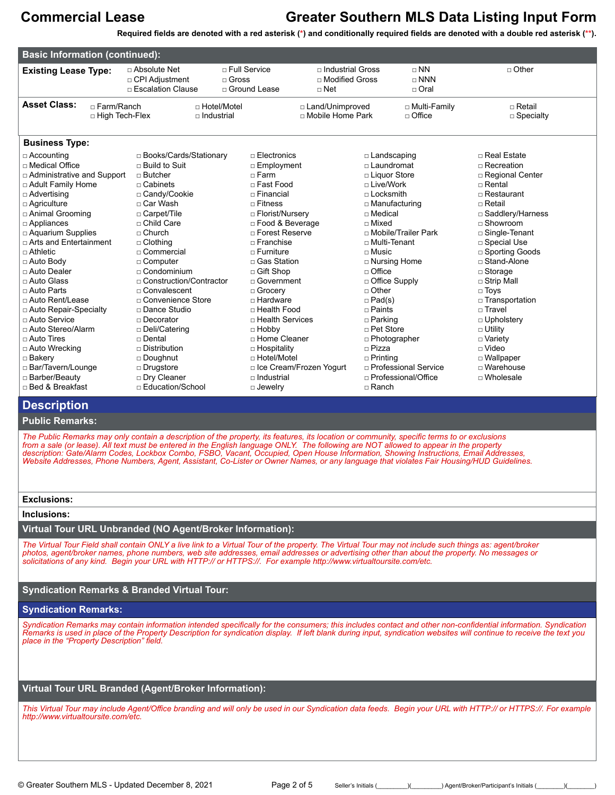**Required fields are denoted with a red asterisk (\*) and conditionally required fields are denoted with a double red asterisk (\*\*).**

| <b>Basic Information (continued):</b>                                                                                                                                                                                                                                                                                                                                                                                                                                                                                                                                     |                                                                                                                                                                                                                                                                                                                                                                                                                            |                                           |                                                                                                                                                                                                                                                                                                                                                                                           |                                                           |                                                                                                                                                                                                                                                                                                |                                                                              |                                                                                                                                                                                                                                                                                                                                                                                                                            |
|---------------------------------------------------------------------------------------------------------------------------------------------------------------------------------------------------------------------------------------------------------------------------------------------------------------------------------------------------------------------------------------------------------------------------------------------------------------------------------------------------------------------------------------------------------------------------|----------------------------------------------------------------------------------------------------------------------------------------------------------------------------------------------------------------------------------------------------------------------------------------------------------------------------------------------------------------------------------------------------------------------------|-------------------------------------------|-------------------------------------------------------------------------------------------------------------------------------------------------------------------------------------------------------------------------------------------------------------------------------------------------------------------------------------------------------------------------------------------|-----------------------------------------------------------|------------------------------------------------------------------------------------------------------------------------------------------------------------------------------------------------------------------------------------------------------------------------------------------------|------------------------------------------------------------------------------|----------------------------------------------------------------------------------------------------------------------------------------------------------------------------------------------------------------------------------------------------------------------------------------------------------------------------------------------------------------------------------------------------------------------------|
| <b>Existing Lease Type:</b>                                                                                                                                                                                                                                                                                                                                                                                                                                                                                                                                               | □ Absolute Net<br>□ CPI Adjustment<br>□ Escalation Clause                                                                                                                                                                                                                                                                                                                                                                  | $\Box$ Gross                              | $\sqcap$ Full Service<br>□ Ground Lease                                                                                                                                                                                                                                                                                                                                                   | □ Industrial Gross<br>$\Box$ Modified Gross<br>$\Box$ Net |                                                                                                                                                                                                                                                                                                | $\sqcap$ NN<br>$\Box$ NNN<br>□ Oral                                          | $\Box$ Other                                                                                                                                                                                                                                                                                                                                                                                                               |
| <b>Asset Class:</b><br>$\Box$ Farm/Ranch<br>□ High Tech-Flex                                                                                                                                                                                                                                                                                                                                                                                                                                                                                                              |                                                                                                                                                                                                                                                                                                                                                                                                                            | $\Box$ Hotel/Motel<br>$\sqcap$ Industrial |                                                                                                                                                                                                                                                                                                                                                                                           | □ Land/Unimproved<br>□ Mobile Home Park                   |                                                                                                                                                                                                                                                                                                | □ Multi-Family<br>□ Office                                                   | $\sqcap$ Retail<br>$\square$ Specialty                                                                                                                                                                                                                                                                                                                                                                                     |
| <b>Business Type:</b>                                                                                                                                                                                                                                                                                                                                                                                                                                                                                                                                                     |                                                                                                                                                                                                                                                                                                                                                                                                                            |                                           |                                                                                                                                                                                                                                                                                                                                                                                           |                                                           |                                                                                                                                                                                                                                                                                                |                                                                              |                                                                                                                                                                                                                                                                                                                                                                                                                            |
| □ Accounting<br>□ Medical Office<br>□ Administrative and Support<br>□ Adult Family Home<br>$\Box$ Advertising<br>$\Box$ Agriculture<br>□ Animal Grooming<br>□ Appliances<br>□ Aquarium Supplies<br>□ Arts and Entertainment<br>$\Box$ Athletic<br>□ Auto Body<br>□ Auto Dealer<br>$\sqcap$ Auto Glass<br>□ Auto Parts<br>□ Auto Rent/Lease<br>□ Auto Repair-Specialty<br>□ Auto Service<br>□ Auto Stereo/Alarm<br>$\Box$ Auto Tires<br>□ Auto Wrecking<br>□ Bakery                                                                                                        | □ Books/Cards/Stationary<br>$\sqcap$ Build to Suit<br>□ Butcher<br>$\sqcap$ Cabinets<br>□ Candy/Cookie<br>□ Car Wash<br>□ Carpet/Tile<br>□ Child Care<br>$\Box$ Church<br>$\Box$ Clothing<br>□ Commercial<br>□ Computer<br>$\Box$ Condominium<br>□ Construction/Contractor<br>□ Convalescent<br>□ Convenience Store<br>□ Dance Studio<br>□ Decorator<br>□ Deli/Catering<br>$\sqcap$ Dental<br>□ Distribution<br>□ Doughnut |                                           | □ Electronics<br>□ Employment<br>□ Farm<br>□ Fast Food<br>$\sqcap$ Financial<br>$\Box$ Fitness<br>□ Florist/Nursery<br>□ Food & Beverage<br>□ Forest Reserve<br>$\Box$ Franchise<br>$\Box$ Furniture<br>□ Gas Station<br>□ Gift Shop<br>□ Government<br>□ Grocery<br>□ Hardware<br>□ Health Food<br>□ Health Services<br>$\Box$ Hobby<br>□ Home Cleaner<br>□ Hospitality<br>□ Hotel/Motel |                                                           | □ Landscaping<br>$\sqcap$ Laundromat<br>□ Liquor Store<br>□ Live/Work<br>□ Locksmith<br>□ Medical<br>□ Mixed<br>□ Multi-Tenant<br>$\Box$ Music<br>$\Box$ Office<br>□ Office Supply<br>□ Other<br>$\Box$ Pad(s)<br>□ Paints<br>$\Box$ Parking<br>□ Pet Store<br>$\Box$ Pizza<br>$\Box$ Printing | □ Manufacturing<br>□ Mobile/Trailer Park<br>□ Nursing Home<br>□ Photographer | □ Real Estate<br>$\sqcap$ Recreation<br>□ Regional Center<br>$\sqcap$ Rental<br>$\Box$ Restaurant<br>$\Box$ Retail<br>□ Saddlery/Harness<br>$\Box$ Showroom<br>□ Single-Tenant<br>□ Special Use<br>□ Sporting Goods<br>□ Stand-Alone<br>$\Box$ Storage<br>$\Box$ Strip Mall<br>$\Box$ Toys<br>□ Transportation<br>□ Travel<br>D Upholstery<br>$\Box$ Utility<br>□ Variety<br>$\square$ Video<br>□ Wallpaper<br>□ Warehouse |
| □ Barber/Beauty<br>□ Bed & Breakfast                                                                                                                                                                                                                                                                                                                                                                                                                                                                                                                                      | □ Bar/Tavern/Lounge<br>□ Drugstore<br>□ Dry Cleaner<br>□ Education/School                                                                                                                                                                                                                                                                                                                                                  |                                           | □ Ice Cream/Frozen Yogurt<br>□ Industrial<br>$\Box$ Jewelry                                                                                                                                                                                                                                                                                                                               |                                                           | □ Professional Service<br>□ Professional/Office<br>□ Ranch                                                                                                                                                                                                                                     |                                                                              | $\Box$ Wholesale                                                                                                                                                                                                                                                                                                                                                                                                           |
| <b>Description</b>                                                                                                                                                                                                                                                                                                                                                                                                                                                                                                                                                        |                                                                                                                                                                                                                                                                                                                                                                                                                            |                                           |                                                                                                                                                                                                                                                                                                                                                                                           |                                                           |                                                                                                                                                                                                                                                                                                |                                                                              |                                                                                                                                                                                                                                                                                                                                                                                                                            |
| <b>Public Remarks:</b>                                                                                                                                                                                                                                                                                                                                                                                                                                                                                                                                                    |                                                                                                                                                                                                                                                                                                                                                                                                                            |                                           |                                                                                                                                                                                                                                                                                                                                                                                           |                                                           |                                                                                                                                                                                                                                                                                                |                                                                              |                                                                                                                                                                                                                                                                                                                                                                                                                            |
| The Public Remarks may only contain a description of the property, its features, its location or community, specific terms to or exclusions<br>from a sale (or lease). All text must be entered in the English language ONLY. The following are NOT allowed to appear in the property<br>description: Gate/Alarm Codes, Lockbox Combo, FSBO, Vacant, Occupied, Open House Information, Showing Instructions, Email Addresses,<br>Website Addresses, Phone Numbers, Agent, Assistant, Co-Lister or Owner Names, or any language that violates Fair Housing/HUD Guidelines. |                                                                                                                                                                                                                                                                                                                                                                                                                            |                                           |                                                                                                                                                                                                                                                                                                                                                                                           |                                                           |                                                                                                                                                                                                                                                                                                |                                                                              |                                                                                                                                                                                                                                                                                                                                                                                                                            |
| <b>Exclusions:</b>                                                                                                                                                                                                                                                                                                                                                                                                                                                                                                                                                        |                                                                                                                                                                                                                                                                                                                                                                                                                            |                                           |                                                                                                                                                                                                                                                                                                                                                                                           |                                                           |                                                                                                                                                                                                                                                                                                |                                                                              |                                                                                                                                                                                                                                                                                                                                                                                                                            |
| Inclusions:                                                                                                                                                                                                                                                                                                                                                                                                                                                                                                                                                               |                                                                                                                                                                                                                                                                                                                                                                                                                            |                                           |                                                                                                                                                                                                                                                                                                                                                                                           |                                                           |                                                                                                                                                                                                                                                                                                |                                                                              |                                                                                                                                                                                                                                                                                                                                                                                                                            |
| Virtual Tour URL Unbranded (NO Agent/Broker Information):                                                                                                                                                                                                                                                                                                                                                                                                                                                                                                                 |                                                                                                                                                                                                                                                                                                                                                                                                                            |                                           |                                                                                                                                                                                                                                                                                                                                                                                           |                                                           |                                                                                                                                                                                                                                                                                                |                                                                              |                                                                                                                                                                                                                                                                                                                                                                                                                            |
| The Virtual Tour Field shall contain ONLY a live link to a Virtual Tour of the property. The Virtual Tour may not include such things as: agent/broker<br>photos, agent/broker names, phone numbers, web site addresses, email addresses or advertising other than about the property. No messages or<br>solicitations of any kind. Begin your URL with HTTP:// or HTTPS://. For example http://www.virtualtoursite.com/etc.                                                                                                                                              |                                                                                                                                                                                                                                                                                                                                                                                                                            |                                           |                                                                                                                                                                                                                                                                                                                                                                                           |                                                           |                                                                                                                                                                                                                                                                                                |                                                                              |                                                                                                                                                                                                                                                                                                                                                                                                                            |
| <b>Syndication Remarks &amp; Branded Virtual Tour:</b>                                                                                                                                                                                                                                                                                                                                                                                                                                                                                                                    |                                                                                                                                                                                                                                                                                                                                                                                                                            |                                           |                                                                                                                                                                                                                                                                                                                                                                                           |                                                           |                                                                                                                                                                                                                                                                                                |                                                                              |                                                                                                                                                                                                                                                                                                                                                                                                                            |
| <b>Syndication Remarks:</b>                                                                                                                                                                                                                                                                                                                                                                                                                                                                                                                                               |                                                                                                                                                                                                                                                                                                                                                                                                                            |                                           |                                                                                                                                                                                                                                                                                                                                                                                           |                                                           |                                                                                                                                                                                                                                                                                                |                                                                              |                                                                                                                                                                                                                                                                                                                                                                                                                            |

*Syndication Remarks may contain information intended specifically for the consumers; this includes contact and other non-confidential information. Syndication Remarks is used in place of the Property Description for syndication display. If left blank during input, syndication websites will continue to receive the text you place in the "Property Description" field.*

### **Virtual Tour URL Branded (Agent/Broker Information):**

*This Virtual Tour may include Agent/Office branding and will only be used in our Syndication data feeds. Begin your URL with HTTP:// or HTTPS://. For example http://www.virtualtoursite.com/etc.*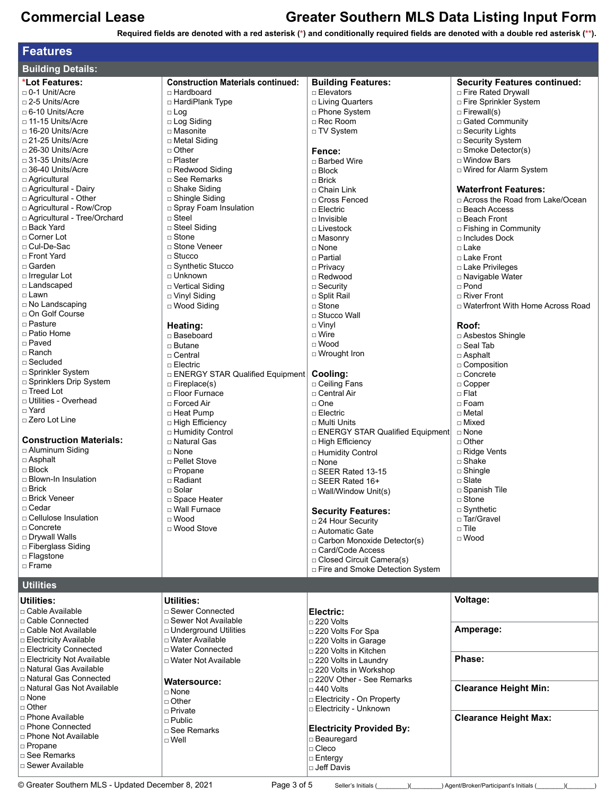**Required fields are denoted with a red asterisk (\*) and conditionally required fields are denoted with a double red asterisk (\*\*).**

| <b>Features</b>                                               |                                          |                                                 |                                               |  |  |  |  |
|---------------------------------------------------------------|------------------------------------------|-------------------------------------------------|-----------------------------------------------|--|--|--|--|
| <b>Building Details:</b>                                      |                                          |                                                 |                                               |  |  |  |  |
| *Lot Features:                                                | <b>Construction Materials continued:</b> | <b>Building Features:</b>                       | <b>Security Features continued:</b>           |  |  |  |  |
| □ 0-1 Unit/Acre                                               | □ Hardboard                              | $\Box$ Elevators                                | □ Fire Rated Drywall                          |  |  |  |  |
| □ 2-5 Units/Acre                                              | □ HardiPlank Type                        | □ Living Quarters                               | Fire Sprinkler System                         |  |  |  |  |
| □ 6-10 Units/Acre                                             | $\Box$ Log                               | □ Phone System                                  | $\Box$ Firewall(s)                            |  |  |  |  |
| □ 11-15 Units/Acre                                            | $\Box$ Log Siding                        | $\Box$ Rec Room                                 | □ Gated Community                             |  |  |  |  |
| □ 16-20 Units/Acre                                            | □ Masonite                               | □ TV System                                     | □ Security Lights                             |  |  |  |  |
| □ 21-25 Units/Acre<br>□ 26-30 Units/Acre                      | □ Metal Siding<br>$\Box$ Other           |                                                 | □ Security System<br>$\Box$ Smoke Detector(s) |  |  |  |  |
| □ 31-35 Units/Acre                                            | □ Plaster                                | Fence:<br>□ Barbed Wire                         | □ Window Bars                                 |  |  |  |  |
| $\Box$ 36-40 Units/Acre                                       | □ Redwood Siding                         | $\Box$ Block                                    | □ Wired for Alarm System                      |  |  |  |  |
| □ Agricultural                                                | $\sqcap$ See Remarks                     | $\Box$ Brick                                    |                                               |  |  |  |  |
| □ Agricultural - Dairy                                        | □ Shake Siding                           | □ Chain Link                                    | <b>Waterfront Features:</b>                   |  |  |  |  |
| □ Agricultural - Other                                        | □ Shingle Siding                         | □ Cross Fenced                                  | □ Across the Road from Lake/Ocean             |  |  |  |  |
| □ Agricultural - Row/Crop                                     | □ Spray Foam Insulation                  | $\Box$ Electric                                 | □ Beach Access                                |  |  |  |  |
| □ Agricultural - Tree/Orchard                                 | □ Steel                                  | $\Box$ Invisible                                | □ Beach Front                                 |  |  |  |  |
| □ Back Yard                                                   | □ Steel Siding                           | $\Box$ Livestock                                | $\Box$ Fishing in Community                   |  |  |  |  |
| □ Corner Lot                                                  | $\Box$ Stone                             | □ Masonry                                       | □ Includes Dock                               |  |  |  |  |
| □ Cul-De-Sac                                                  | □ Stone Veneer                           | $\Box$ None                                     | □ Lake                                        |  |  |  |  |
| □ Front Yard                                                  | $\sqcap$ Stucco                          | □ Partial                                       | □ Lake Front                                  |  |  |  |  |
| □ Garden<br>□ Irregular Lot                                   | □ Synthetic Stucco<br>$\Box$ Unknown     | □ Privacy                                       | □ Lake Privileges                             |  |  |  |  |
| □ Landscaped                                                  |                                          | □ Redwood                                       | □ Navigable Water                             |  |  |  |  |
| □ Lawn                                                        | □ Vertical Siding<br>□ Vinyl Siding      | $\Box$ Security<br>□ Split Rail                 | $\Box$ Pond<br>$\sqcap$ River Front           |  |  |  |  |
| $\Box$ No Landscaping                                         | $\Box$ Wood Siding                       | $\sqcap$ Stone                                  | □ Waterfront With Home Across Road            |  |  |  |  |
| □ On Golf Course                                              |                                          | □ Stucco Wall                                   |                                               |  |  |  |  |
| □ Pasture                                                     | Heating:                                 | $\Box$ Vinyl                                    | Roof:                                         |  |  |  |  |
| □ Patio Home                                                  | □ Baseboard                              | $\Box$ Wire                                     | □ Asbestos Shingle                            |  |  |  |  |
| □ Paved                                                       | $\Box$ Butane                            | $\Box$ Wood                                     | $\square$ Seal Tab                            |  |  |  |  |
| □ Ranch                                                       | $\Box$ Central                           | □ Wrought Iron                                  | $\Box$ Asphalt                                |  |  |  |  |
| $\Box$ Secluded                                               | $\Box$ Electric                          |                                                 | □ Composition                                 |  |  |  |  |
| □ Sprinkler System                                            | □ ENERGY STAR Qualified Equipment        | Cooling:                                        | □ Concrete                                    |  |  |  |  |
| □ Sprinklers Drip System                                      | $\Box$ Fireplace(s)                      | □ Ceiling Fans                                  | $\Box$ Copper                                 |  |  |  |  |
| □ Treed Lot                                                   | □ Floor Furnace                          | □ Central Air                                   | $\Box$ Flat                                   |  |  |  |  |
| □ Utilities - Overhead<br>□ Yard                              | $\Box$ Forced Air                        | □ One                                           | $\Box$ Foam                                   |  |  |  |  |
| □ Zero Lot Line                                               | □ Heat Pump                              | $\Box$ Electric                                 | □ Metal                                       |  |  |  |  |
|                                                               | □ High Efficiency                        | □ Multi Units                                   | □ Mixed                                       |  |  |  |  |
| <b>Construction Materials:</b>                                | □ Humidity Control<br>□ Natural Gas      | □ ENERGY STAR Qualified Equipment               | $\Box$ None<br>□ Other                        |  |  |  |  |
| □ Aluminum Siding                                             | $\Box$ None                              | □ High Efficiency<br>□ Humidity Control         | □ Ridge Vents                                 |  |  |  |  |
| $\Box$ Asphalt                                                | □ Pellet Stove                           | $\Box$ None                                     | $\square$ Shake                               |  |  |  |  |
| $\Box$ Block                                                  | □ Propane                                | $\Box$ SEER Rated 13-15                         | $\square$ Shingle                             |  |  |  |  |
| □ Blown-In Insulation                                         | □ Radiant                                | $\Box$ SEER Rated 16+                           | $\sqcap$ Slate                                |  |  |  |  |
| $\Box$ Brick                                                  | $\sqcap$ Solar                           | $\Box$ Wall/Window Unit(s)                      | □ Spanish Tile                                |  |  |  |  |
| □ Brick Veneer                                                | □ Space Heater                           |                                                 | □ Stone                                       |  |  |  |  |
| □ Cedar                                                       | □ Wall Furnace                           | <b>Security Features:</b>                       | $\Box$ Synthetic                              |  |  |  |  |
| □ Cellulose Insulation                                        | $\sqcap$ Wood                            | □ 24 Hour Security                              | □ Tar/Gravel                                  |  |  |  |  |
| □ Concrete                                                    | □ Wood Stove                             | □ Automatic Gate                                | $\sqcap$ Tile                                 |  |  |  |  |
| □ Drywall Walls<br>□ Fiberglass Siding                        |                                          | □ Carbon Monoxide Detector(s)                   | $\sqcap$ Wood                                 |  |  |  |  |
| □ Flagstone                                                   |                                          | □ Card/Code Access                              |                                               |  |  |  |  |
| $\Box$ Frame                                                  |                                          | □ Closed Circuit Camera(s)                      |                                               |  |  |  |  |
|                                                               |                                          | □ Fire and Smoke Detection System               |                                               |  |  |  |  |
| <b>Utilities</b>                                              |                                          |                                                 |                                               |  |  |  |  |
| <b>Utilities:</b>                                             | <b>Utilities:</b>                        |                                                 | Voltage:                                      |  |  |  |  |
| □ Cable Available                                             | □ Sewer Connected                        | Electric:                                       |                                               |  |  |  |  |
| □ Cable Connected                                             | □ Sewer Not Available                    | $\Box$ 220 Volts                                |                                               |  |  |  |  |
| □ Cable Not Available                                         | <b>D</b> Underground Utilities           | □ 220 Volts For Spa                             | Amperage:                                     |  |  |  |  |
| $\Box$ Electricity Available                                  | □ Water Available                        | □ 220 Volts in Garage                           |                                               |  |  |  |  |
| $\Box$ Electricity Connected                                  | □ Water Connected                        | □ 220 Volts in Kitchen                          |                                               |  |  |  |  |
| <b>□ Electricity Not Available</b><br>□ Natural Gas Available | □ Water Not Available                    | $\square$ 220 Volts in Laundry                  | Phase:                                        |  |  |  |  |
| □ Natural Gas Connected                                       |                                          | □ 220 Volts in Workshop                         |                                               |  |  |  |  |
| □ Natural Gas Not Available                                   | <b>Watersource:</b>                      | □ 220V Other - See Remarks                      | <b>Clearance Height Min:</b>                  |  |  |  |  |
| $\Box$ None                                                   | □ None                                   | $\Box$ 440 Volts<br>□ Electricity - On Property |                                               |  |  |  |  |
| $\Box$ Other                                                  | $\Box$ Other                             | □ Electricity - Unknown                         |                                               |  |  |  |  |
| □ Phone Available                                             | □ Private<br>$\Box$ Public               |                                                 | <b>Clearance Height Max:</b>                  |  |  |  |  |
| □ Phone Connected                                             | □ See Remarks                            | <b>Electricity Provided By:</b>                 |                                               |  |  |  |  |
| □ Phone Not Available                                         | $\Box$ Well                              | □ Beauregard                                    |                                               |  |  |  |  |
| $\Box$ Propane                                                |                                          | □ Cleco                                         |                                               |  |  |  |  |
| □ See Remarks                                                 |                                          | $\Box$ Entergy                                  |                                               |  |  |  |  |
| □ Sewer Available                                             |                                          | □ Jeff Davis                                    |                                               |  |  |  |  |

© Greater Southern MLS - Updated December 8, 2021 Page 3 of 5 Seller's Initials (\_\_\_\_\_\_\_)(\_\_\_\_\_\_\_) Agent/Broker/Participant's Initials (\_\_\_\_\_\_\_)(\_\_\_\_\_\_\_\_)

L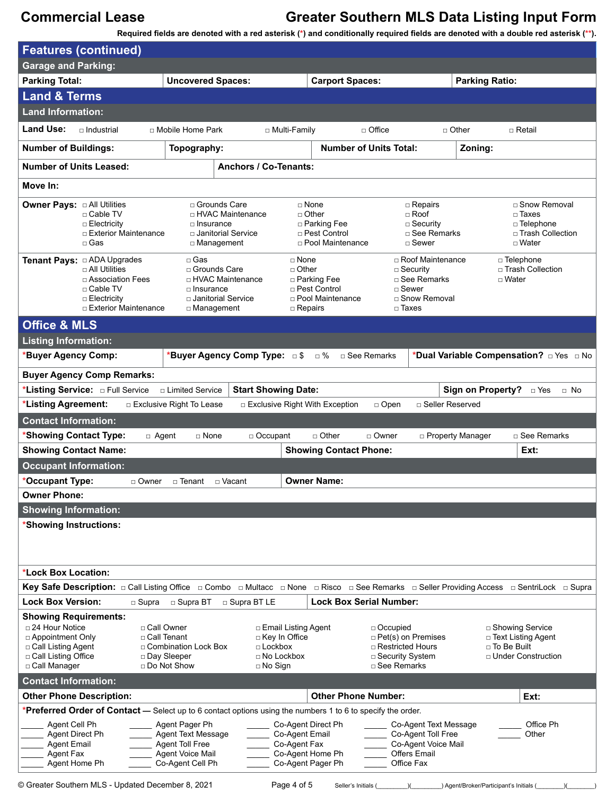**Required fields are denoted with a red asterisk (\*) and conditionally required fields are denoted with a double red asterisk (\*\*).**

| <b>Features (continued)</b>                                                                                                                         |                                                                                                                                           |                                                                                                        |                                                                                                   |                                                                                                        |                                                                                                          |                                                                                           |                                          |                                                                                               |
|-----------------------------------------------------------------------------------------------------------------------------------------------------|-------------------------------------------------------------------------------------------------------------------------------------------|--------------------------------------------------------------------------------------------------------|---------------------------------------------------------------------------------------------------|--------------------------------------------------------------------------------------------------------|----------------------------------------------------------------------------------------------------------|-------------------------------------------------------------------------------------------|------------------------------------------|-----------------------------------------------------------------------------------------------|
| <b>Garage and Parking:</b>                                                                                                                          |                                                                                                                                           |                                                                                                        |                                                                                                   |                                                                                                        |                                                                                                          |                                                                                           |                                          |                                                                                               |
| <b>Parking Total:</b>                                                                                                                               |                                                                                                                                           | <b>Uncovered Spaces:</b>                                                                               |                                                                                                   | <b>Carport Spaces:</b>                                                                                 |                                                                                                          |                                                                                           | <b>Parking Ratio:</b>                    |                                                                                               |
| <b>Land &amp; Terms</b>                                                                                                                             |                                                                                                                                           |                                                                                                        |                                                                                                   |                                                                                                        |                                                                                                          |                                                                                           |                                          |                                                                                               |
| <b>Land Information:</b>                                                                                                                            |                                                                                                                                           |                                                                                                        |                                                                                                   |                                                                                                        |                                                                                                          |                                                                                           |                                          |                                                                                               |
| <b>Land Use:</b>                                                                                                                                    | □ Industrial                                                                                                                              | □ Mobile Home Park                                                                                     | □ Multi-Family                                                                                    |                                                                                                        | $\Box$ Office                                                                                            | $\Box$ Other                                                                              |                                          | □ Retail                                                                                      |
| <b>Number of Buildings:</b>                                                                                                                         |                                                                                                                                           | Topography:                                                                                            |                                                                                                   |                                                                                                        | <b>Number of Units Total:</b>                                                                            |                                                                                           | Zoning:                                  |                                                                                               |
| <b>Number of Units Leased:</b>                                                                                                                      |                                                                                                                                           |                                                                                                        | <b>Anchors / Co-Tenants:</b>                                                                      |                                                                                                        |                                                                                                          |                                                                                           |                                          |                                                                                               |
| Move In:                                                                                                                                            |                                                                                                                                           |                                                                                                        |                                                                                                   |                                                                                                        |                                                                                                          |                                                                                           |                                          |                                                                                               |
| <b>Owner Pays: a All Utilities</b>                                                                                                                  | □ Cable TV<br>$\Box$ Electricity<br>□ Exterior Maintenance<br>□ Gas                                                                       | □ Grounds Care<br>□ HVAC Maintenance<br>$\Box$ Insurance<br>□ Janitorial Service<br>□ Management       |                                                                                                   | □ None<br>$\Box$ Other<br>□ Parking Fee<br>□ Pest Control<br>□ Pool Maintenance                        |                                                                                                          | $\Box$ Repairs<br>$\Box$ Roof<br>$\square$ Security<br>□ See Remarks<br>$\Box$ Sewer      |                                          | □ Snow Removal<br>$\square$ Taxes<br>$\Box$ Telephone<br>□ Trash Collection<br>$\sqcap$ Water |
|                                                                                                                                                     | $\sqcap$ All Utilities<br>□ Association Fees<br>□ Cable TV<br>□ Electricity<br>□ Exterior Maintenance                                     | □ Gas<br>□ Grounds Care<br>□ HVAC Maintenance<br>□ Insurance<br>□ Janitorial Service<br>□ Management   |                                                                                                   | $\Box$ None<br>$\Box$ Other<br>□ Parking Fee<br>□ Pest Control<br>□ Pool Maintenance<br>$\Box$ Repairs | $\sqcap$ Sewer<br>$\square$ Taxes                                                                        | □ Roof Maintenance<br>$\Box$ Security<br>□ See Remarks<br>□ Snow Removal                  | □ Water                                  | □ Telephone<br>□ Trash Collection                                                             |
| <b>Office &amp; MLS</b>                                                                                                                             |                                                                                                                                           |                                                                                                        |                                                                                                   |                                                                                                        |                                                                                                          |                                                                                           |                                          |                                                                                               |
| <b>Listing Information:</b>                                                                                                                         |                                                                                                                                           |                                                                                                        |                                                                                                   |                                                                                                        |                                                                                                          |                                                                                           |                                          |                                                                                               |
| *Buyer Agency Comp:                                                                                                                                 |                                                                                                                                           |                                                                                                        | *Buyer Agency Comp Type: □ \$                                                                     | □ %                                                                                                    | □ See Remarks                                                                                            |                                                                                           |                                          | *Dual Variable Compensation? <b>DIMES</b> DNo                                                 |
|                                                                                                                                                     | <b>Buyer Agency Comp Remarks:</b>                                                                                                         |                                                                                                        |                                                                                                   |                                                                                                        |                                                                                                          |                                                                                           |                                          |                                                                                               |
|                                                                                                                                                     |                                                                                                                                           | □ Limited Service                                                                                      | <b>Start Showing Date:</b>                                                                        |                                                                                                        |                                                                                                          |                                                                                           | Sign on Property?                        | $\Box$ Yes<br>$\Box$ No                                                                       |
| *Listing Agreement:                                                                                                                                 |                                                                                                                                           | □ Exclusive Right To Lease                                                                             |                                                                                                   | □ Exclusive Right With Exception                                                                       | $\Box$ Open                                                                                              | □ Seller Reserved                                                                         |                                          |                                                                                               |
| <b>Contact Information:</b>                                                                                                                         |                                                                                                                                           |                                                                                                        |                                                                                                   |                                                                                                        |                                                                                                          |                                                                                           |                                          |                                                                                               |
| *Showing Contact Type:                                                                                                                              | $\Box$ Agent                                                                                                                              | $\Box$ None                                                                                            | $\Box$ Occupant                                                                                   | $\Box$ Other                                                                                           | □ Owner                                                                                                  | □ Property Manager                                                                        |                                          | $\Box$ See Remarks                                                                            |
| <b>Showing Contact Name:</b>                                                                                                                        |                                                                                                                                           |                                                                                                        |                                                                                                   | <b>Showing Contact Phone:</b>                                                                          |                                                                                                          |                                                                                           |                                          | Ext:                                                                                          |
| <b>Occupant Information:</b>                                                                                                                        |                                                                                                                                           |                                                                                                        |                                                                                                   |                                                                                                        |                                                                                                          |                                                                                           |                                          |                                                                                               |
| *Occupant Type:                                                                                                                                     | □ Owner                                                                                                                                   | □ Tenant                                                                                               | $\sqcap$ Vacant                                                                                   | <b>Owner Name:</b>                                                                                     |                                                                                                          |                                                                                           |                                          |                                                                                               |
| <b>Owner Phone:</b>                                                                                                                                 |                                                                                                                                           |                                                                                                        |                                                                                                   |                                                                                                        |                                                                                                          |                                                                                           |                                          |                                                                                               |
| <b>Showing Information:</b>                                                                                                                         |                                                                                                                                           |                                                                                                        |                                                                                                   |                                                                                                        |                                                                                                          |                                                                                           |                                          |                                                                                               |
| *Showing Instructions:                                                                                                                              |                                                                                                                                           |                                                                                                        |                                                                                                   |                                                                                                        |                                                                                                          |                                                                                           |                                          |                                                                                               |
| *Lock Box Location:                                                                                                                                 |                                                                                                                                           |                                                                                                        |                                                                                                   |                                                                                                        |                                                                                                          |                                                                                           |                                          |                                                                                               |
|                                                                                                                                                     | Key Safe Description: □ Call Listing Office □ Combo □ Multacc □ None □ Risco □ See Remarks □ Seller Providing Access □ SentriLock □ Supra |                                                                                                        |                                                                                                   |                                                                                                        |                                                                                                          |                                                                                           |                                          |                                                                                               |
| <b>Lock Box Version:</b>                                                                                                                            | $\square$ Supra                                                                                                                           | □ Supra BT                                                                                             | □ Supra BT LE                                                                                     |                                                                                                        | <b>Lock Box Serial Number:</b>                                                                           |                                                                                           |                                          |                                                                                               |
| <b>Showing Requirements:</b><br>$\Box$ 24 Hour Notice<br>$\Box$ Appointment Only<br>□ Call Listing Agent<br>□ Call Listing Office<br>□ Call Manager | □ Call Owner<br>□ Call Tenant                                                                                                             | □ Combination Lock Box<br>□ Day Sleeper<br>□ Do Not Show                                               | □ Email Listing Agent<br>□ Key In Office<br>$\Box$ Lockbox<br>$\Box$ No Lockbox<br>$\Box$ No Sign |                                                                                                        | □ Occupied<br>$\Box$ Pet(s) on Premises<br>□ Restricted Hours<br>□ Security System<br>$\Box$ See Remarks |                                                                                           | □ To Be Built                            | □ Showing Service<br>$\Box$ Text Listing Agent<br>$\Box$ Under Construction                   |
| <b>Contact Information:</b>                                                                                                                         |                                                                                                                                           |                                                                                                        |                                                                                                   |                                                                                                        |                                                                                                          |                                                                                           |                                          |                                                                                               |
| <b>Other Phone Description:</b>                                                                                                                     |                                                                                                                                           |                                                                                                        |                                                                                                   | <b>Other Phone Number:</b>                                                                             |                                                                                                          |                                                                                           |                                          | Ext:                                                                                          |
|                                                                                                                                                     | *Preferred Order of Contact — Select up to 6 contact options using the numbers 1 to 6 to specify the order.                               |                                                                                                        |                                                                                                   |                                                                                                        |                                                                                                          |                                                                                           |                                          |                                                                                               |
| Agent Cell Ph<br>Agent Direct Ph<br><b>Agent Email</b><br>Agent Fax<br>Agent Home Ph                                                                |                                                                                                                                           | Agent Pager Ph<br><b>Agent Text Message</b><br>Agent Toll Free<br>Agent Voice Mail<br>Co-Agent Cell Ph |                                                                                                   | Co-Agent Direct Ph<br>Co-Agent Email<br>Co-Agent Fax<br>Co-Agent Home Ph<br>Co-Agent Pager Ph          | Office Fax                                                                                               | Co-Agent Text Message<br>Co-Agent Toll Free<br>Co-Agent Voice Mail<br><b>Offers Email</b> |                                          | Office Ph<br>Other                                                                            |
|                                                                                                                                                     | © Greater Southern MLS - Updated December 8, 2021                                                                                         |                                                                                                        | Page 4 of 5                                                                                       |                                                                                                        | Seller's Initials (                                                                                      | $\chi$                                                                                    | _) Agent/Broker/Participant's Initials ( |                                                                                               |